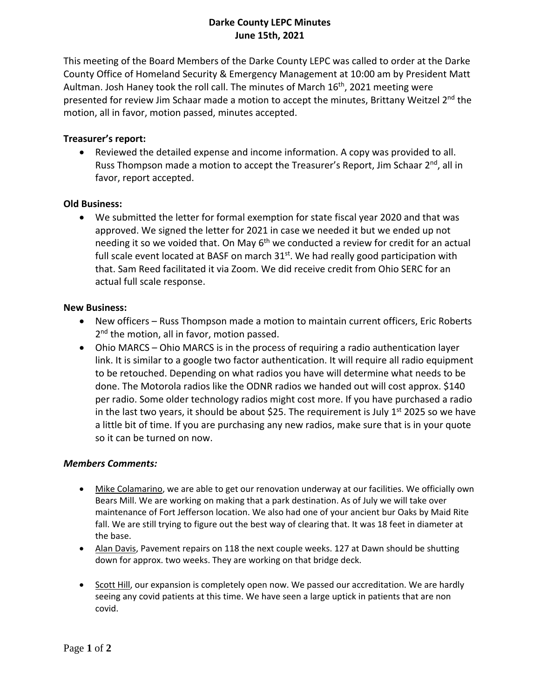# **Darke County LEPC Minutes June 15th, 2021**

This meeting of the Board Members of the Darke County LEPC was called to order at the Darke County Office of Homeland Security & Emergency Management at 10:00 am by President Matt Aultman. Josh Haney took the roll call. The minutes of March 16<sup>th</sup>, 2021 meeting were presented for review Jim Schaar made a motion to accept the minutes, Brittany Weitzel 2<sup>nd</sup> the motion, all in favor, motion passed, minutes accepted.

## **Treasurer's report:**

 Reviewed the detailed expense and income information. A copy was provided to all. Russ Thompson made a motion to accept the Treasurer's Report, Jim Schaar 2<sup>nd</sup>, all in favor, report accepted.

### **Old Business:**

 We submitted the letter for formal exemption for state fiscal year 2020 and that was approved. We signed the letter for 2021 in case we needed it but we ended up not needing it so we voided that. On May  $6<sup>th</sup>$  we conducted a review for credit for an actual full scale event located at BASF on march  $31<sup>st</sup>$ . We had really good participation with that. Sam Reed facilitated it via Zoom. We did receive credit from Ohio SERC for an actual full scale response.

### **New Business:**

- New officers Russ Thompson made a motion to maintain current officers, Eric Roberts 2<sup>nd</sup> the motion, all in favor, motion passed.
- Ohio MARCS Ohio MARCS is in the process of requiring a radio authentication layer link. It is similar to a google two factor authentication. It will require all radio equipment to be retouched. Depending on what radios you have will determine what needs to be done. The Motorola radios like the ODNR radios we handed out will cost approx. \$140 per radio. Some older technology radios might cost more. If you have purchased a radio in the last two years, it should be about \$25. The requirement is July  $1<sup>st</sup>$  2025 so we have a little bit of time. If you are purchasing any new radios, make sure that is in your quote so it can be turned on now.

### *Members Comments:*

- Mike Colamarino, we are able to get our renovation underway at our facilities. We officially own Bears Mill. We are working on making that a park destination. As of July we will take over maintenance of Fort Jefferson location. We also had one of your ancient bur Oaks by Maid Rite fall. We are still trying to figure out the best way of clearing that. It was 18 feet in diameter at the base.
- Alan Davis, Pavement repairs on 118 the next couple weeks. 127 at Dawn should be shutting down for approx. two weeks. They are working on that bridge deck.
- Scott Hill, our expansion is completely open now. We passed our accreditation. We are hardly seeing any covid patients at this time. We have seen a large uptick in patients that are non covid.